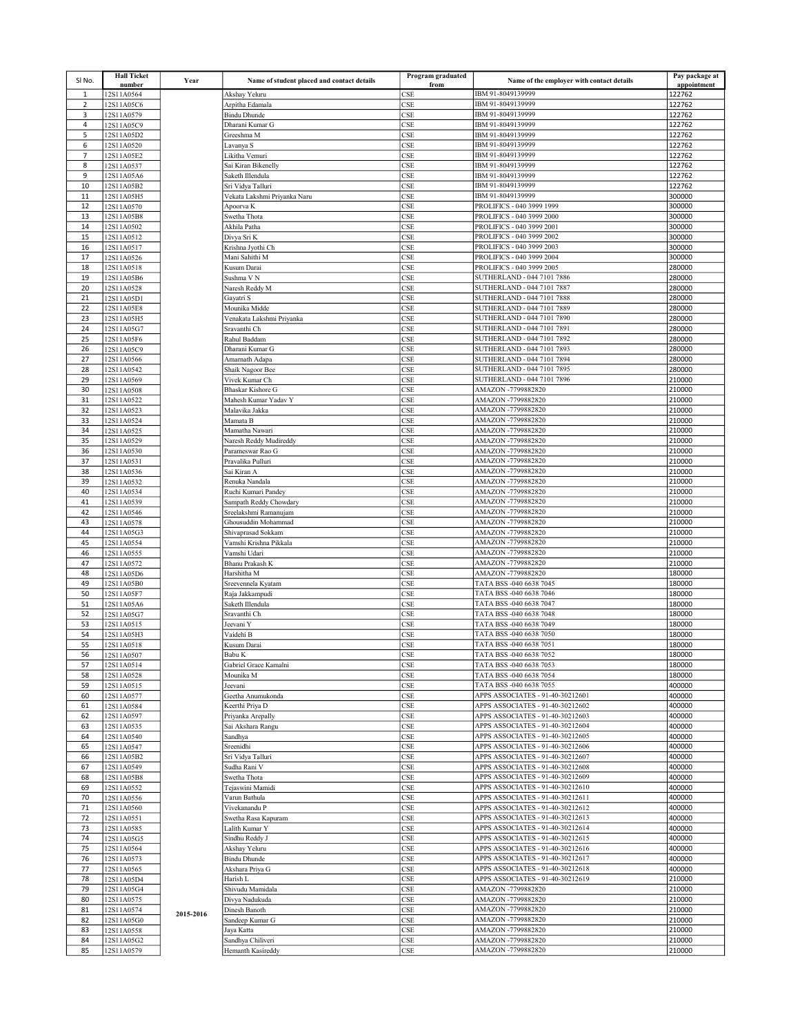| SI No.         | <b>Hall Ticket</b>       | Year      | Name of student placed and contact details | Program graduated | Name of the employer with contact details                            | Pay package at        |
|----------------|--------------------------|-----------|--------------------------------------------|-------------------|----------------------------------------------------------------------|-----------------------|
| $\mathbf{1}$   | number<br>12S11A0564     |           | Akshay Yeluru                              | from<br>CSE       | IBM 91-8049139999                                                    | appointment<br>122762 |
| $\overline{2}$ | 12S11A05C6               |           | Arpitha Edamala                            | CSE               | IBM 91-8049139999                                                    | 122762                |
| 3              | 12S11A0579               |           | <b>Bindu Dhunde</b>                        | CSE               | IBM 91-8049139999                                                    | 122762                |
| 4              | 12S11A05C9               |           | Dharani Kumar G                            | CSE               | IBM 91-8049139999                                                    | 122762                |
| 5              | 12S11A05D2               |           | Greeshma M                                 | <b>CSE</b>        | IBM 91-8049139999                                                    | 122762                |
| 6              | 12S11A0520               |           | Lavanya S                                  | CSE               | IBM 91-8049139999                                                    | 122762                |
| $\overline{7}$ | 12S11A05E2               |           | Likitha Vemuri                             | CSE               | IBM 91-8049139999                                                    | 122762                |
| 8              | 12S11A0537               |           | Sai Kiran Bikenelly                        | CSE               | IBM 91-8049139999                                                    | 122762                |
| 9              | 12S11A05A6               |           | Saketh Illendula                           | <b>CSE</b>        | IBM 91-8049139999                                                    | 122762                |
| 10             | 12S11A05B2               |           | Sri Vidya Talluri                          | CSE               | IBM 91-8049139999                                                    | 122762                |
| 11             | 12S11A05H5               |           | Vekata Lakshmi Priyanka Naru               | CSE               | IBM 91-8049139999                                                    | 300000                |
| 12             | 12S11A0570               |           | Apoorva K                                  | CSE               | PROLIFICS - 040 3999 1999                                            | 300000                |
| 13             | 12S11A05B8               |           | Swetha Thota                               | CSE               | PROLIFICS - 040 3999 2000                                            | 300000                |
| 14             | 12S11A0502               |           | Akhila Patha                               | CSE               | PROLIFICS - 040 3999 2001                                            | 300000                |
| 15             | 12S11A0512               |           | Divya Sri K                                | CSE               | PROLIFICS - 040 3999 2002                                            | 300000                |
| 16             | 12S11A0517               |           | Krishna Jyothi Ch                          | CSE               | PROLIFICS - 040 3999 2003                                            | 300000                |
| 17             | 12S11A0526               |           | Mani Sahithi M                             | CSE               | PROLIFICS - 040 3999 2004                                            | 300000                |
| 18             | 12S11A0518               |           | Kusum Darai                                | CSE               | PROLIFICS - 040 3999 2005                                            | 280000                |
| 19             | 12S11A05B6               |           | Sushma V N                                 | <b>CSE</b>        | SUTHERLAND - 044 7101 7886                                           | 280000                |
| 20             | 12S11A0528               |           | Naresh Reddy M                             | CSE               | SUTHERLAND - 044 7101 7887                                           | 280000                |
| 21<br>22       | 12S11A05D1<br>12S11A05E8 |           | Gayatri S                                  | CSE<br><b>CSE</b> | SUTHERLAND - 044 7101 7888<br>SUTHERLAND - 044 7101 7889             | 280000<br>280000      |
| 23             |                          |           | Mounika Midde<br>Venakata Lakshmi Priyanka | CSE               | SUTHERLAND - 044 7101 7890                                           | 280000                |
| 24             | 12S11A05H5<br>12S11A05G7 |           | Sravanthi Ch                               | CSE               | SUTHERLAND - 044 7101 7891                                           | 280000                |
| 25             | 12S11A05F6               |           | Rahul Baddam                               | <b>CSE</b>        | SUTHERLAND - 044 7101 7892                                           | 280000                |
| 26             | 12S11A05C9               |           | Dharani Kumar G                            | CSE               | SUTHERLAND - 044 7101 7893                                           | 280000                |
| 27             | 12S11A0566               |           | Amarnath Adapa                             | CSE               | SUTHERLAND - 044 7101 7894                                           | 280000                |
| 28             | 12S11A0542               |           | Shaik Nagoor Bee                           | CSE               | SUTHERLAND - 044 7101 7895                                           | 280000                |
| 29             | 12S11A0569               |           | Vivek Kumar Ch                             | CSE               | SUTHERLAND - 044 7101 7896                                           | 210000                |
| 30             | 12S11A0508               |           | Bhaskar Kishore G                          | CSE               | AMAZON -7799882820                                                   | 210000                |
| 31             | 12S11A0522               |           | Mahesh Kumar Yadav Y                       | CSE               | AMAZON -7799882820                                                   | 210000                |
| 32             | 12S11A0523               |           | Malavika Jakka                             | CSE               | AMAZON -7799882820                                                   | 210000                |
| 33             | 12S11A0524               |           | Mamata B                                   | CSE               | AMAZON -7799882820                                                   | 210000                |
| 34             | 12S11A0525               |           | Mamatha Nawari                             | CSE               | AMAZON -7799882820                                                   | 210000                |
| 35             | 12S11A0529               |           | Naresh Reddy Mudireddy                     | <b>CSE</b>        | AMAZON -7799882820                                                   | 210000                |
| 36             | 12S11A0530               |           | Parameswar Rao G                           | CSE               | AMAZON -7799882820                                                   | 210000                |
| 37             | 12S11A0531               |           | Pravalika Pulluri                          | CSE               | AMAZON -7799882820                                                   | 210000                |
| 38             | 12S11A0536               |           | Sai Kiran A                                | CSE               | AMAZON -7799882820                                                   | 210000                |
| 39             | 12S11A0532               |           | Renuka Nandala                             | <b>CSE</b>        | AMAZON -7799882820                                                   | 210000                |
| 40             | 12S11A0534               |           | Ruchi Kumari Pandey                        | CSE               | AMAZON -7799882820                                                   | 210000                |
| 41             | 12S11A0539               |           | Sampath Reddy Chowdary                     | CSE               | AMAZON -7799882820                                                   | 210000                |
| 42             | 12S11A0546               |           | Sreelakshmi Ramanujam                      | <b>CSE</b>        | AMAZON -7799882820                                                   | 210000                |
| 43             | 12S11A0578               |           | Ghousuddin Mohammad                        | CSE               | AMAZON -7799882820                                                   | 210000                |
| 44             | 12S11A05G3               |           | Shivaprasad Sokkam                         | CSE               | AMAZON -7799882820                                                   | 210000                |
| 45             | 12S11A0554               |           | Vamshi Krishna Pikkala                     | <b>CSE</b>        | AMAZON -7799882820                                                   | 210000                |
| 46             | 12S11A0555               |           | Vamshi Udari                               | CSE               | AMAZON -7799882820                                                   | 210000                |
| 47             | 12S11A0572               |           | <b>Bhanu Prakash K</b>                     | CSE               | AMAZON -7799882820                                                   | 210000                |
| 48<br>49       | 12S11A05D6               |           | Harshitha M                                | CSE<br>CSE        | AMAZON -7799882820<br>TATA BSS -040 6638 7045                        | 180000<br>180000      |
| 50             | 12S11A05B0<br>12S11A05F7 |           | Sreevennela Kyatam<br>Raja Jakkampudi      | CSE               | TATA BSS -040 6638 7046                                              | 180000                |
| 51             | 12S11A05A6               |           | Saketh Illendula                           | CSE               | TATA BSS -040 6638 7047                                              | 180000                |
| 52             | 12S11A05G7               |           | Sravanthi Ch                               | CSE               | TATA BSS -040 6638 7048                                              | 180000                |
| 53             | 12S11A0515               |           | Jeevani Y                                  | CSE               | TATA BSS -040 6638 7049                                              | 180000                |
| 54             | 12S11A05H3               |           | Vaidehi B                                  | CSE               | TATA BSS -040 6638 7050                                              | 180000                |
| 55             | 12S11A0518               |           | Kusum Darai                                | <b>CSE</b>        | TATA BSS -040 6638 7051                                              | 180000                |
| 56             | 12S11A0507               |           | Babu K                                     | <b>CSE</b>        | TATA BSS -040 6638 7052                                              | 180000                |
| 57             | 12S11A0514               |           | Gabriel Grace Kamalni                      | CSE               | TATA BSS -040 6638 7053                                              | 180000                |
| 58             | 12S11A0528               |           | Mounika M                                  | CSE               | TATA BSS -040 6638 7054                                              | 180000                |
| 59             | 12S11A0515               |           | Jeevani                                    | CSE               | TATA BSS -040 6638 7055                                              | 400000                |
| 60             | 12S11A0577               |           | Geetha Anumukonda                          | CSE               | APPS ASSOCIATES - 91-40-30212601                                     | 400000                |
| 61             | 12S11A0584               |           | Keerthi Priya D                            | CSE               | APPS ASSOCIATES - 91-40-30212602                                     | 400000                |
| 62             | 12S11A0597               |           | Priyanka Arepally                          | <b>CSE</b>        | APPS ASSOCIATES - 91-40-30212603                                     | 400000                |
| 63             | 12S11A0535               |           | Sai Akshara Rangu                          | CSE               | APPS ASSOCIATES - 91-40-30212604                                     | 400000                |
| 64             | 12S11A0540               |           | Sandhya                                    | CSE               | APPS ASSOCIATES - 91-40-30212605                                     | 400000                |
| 65             | 12S11A0547               |           | Sreenidhi                                  | <b>CSE</b>        | APPS ASSOCIATES - 91-40-30212606                                     | 400000                |
| 66             | 12S11A05B2               |           | Sri Vidya Talluri                          | CSE               | APPS ASSOCIATES - 91-40-30212607                                     | 400000                |
| 67             | 12S11A0549               |           | Sudha Rani V                               | CSE               | APPS ASSOCIATES - 91-40-30212608                                     | 400000                |
| 68             | 12S11A05B8               |           | Swetha Thota                               | CSE<br><b>CSE</b> | APPS ASSOCIATES - 91-40-30212609                                     | 400000                |
| 69<br>70       | 12S11A0552               |           | Tejaswini Mamidi<br>Varun Bathula          | CSE               | APPS ASSOCIATES - 91-40-30212610<br>APPS ASSOCIATES - 91-40-30212611 | 400000<br>400000      |
| 71             | 12S11A0556<br>12S11A0560 |           | Vivekanandu P                              | CSE               | APPS ASSOCIATES - 91-40-30212612                                     | 400000                |
| 72             | 12S11A0551               |           | Swetha Rasa Kapuram                        | CSE               | APPS ASSOCIATES - 91-40-30212613                                     | 400000                |
| 73             | 12S11A0585               |           | Lalith Kumar Y                             | CSE               | APPS ASSOCIATES - 91-40-30212614                                     | 400000                |
| 74             | 12S11A05G5               |           | Sindhu Reddy J                             | CSE               | APPS ASSOCIATES - 91-40-30212615                                     | 400000                |
| 75             | 12S11A0564               |           | Akshay Yeluru                              | CSE               | APPS ASSOCIATES - 91-40-30212616                                     | 400000                |
| 76             | 12S11A0573               |           | <b>Bindu Dhunde</b>                        | CSE               | APPS ASSOCIATES - 91-40-30212617                                     | 400000                |
| 77             | 12S11A0565               |           | Akshara Priya G                            | CSE               | APPS ASSOCIATES - 91-40-30212618                                     | 400000                |
| 78             | 12S11A05D4               |           | Harish L                                   | CSE               | APPS ASSOCIATES - 91-40-30212619                                     | 210000                |
| 79             | 12S11A05G4               |           | Shivudu Mamidala                           | <b>CSE</b>        | AMAZON -7799882820                                                   | 210000                |
| 80             | 12S11A0575               |           | Divya Nadukuda                             | CSE               | AMAZON -7799882820                                                   | 210000                |
| 81             | 12S11A0574               | 2015-2016 | Dinesh Banoth                              | CSE               | AMAZON -7799882820                                                   | 210000                |
| 82             | 12S11A05G0               |           | Sandeep Kumar G                            | <b>CSE</b>        | AMAZON -7799882820                                                   | 210000                |
| 83             | 12S11A0558               |           | Jaya Katta                                 | CSE               | AMAZON -7799882820                                                   | 210000                |
| 84             | 12S11A05G2               |           | Sandhya Chiliveri                          | CSE               | AMAZON -7799882820                                                   | 210000                |
| 85             | 12S11A0579               |           | Hemanth Kasireddy                          | CSE               | AMAZON -7799882820                                                   | 210000                |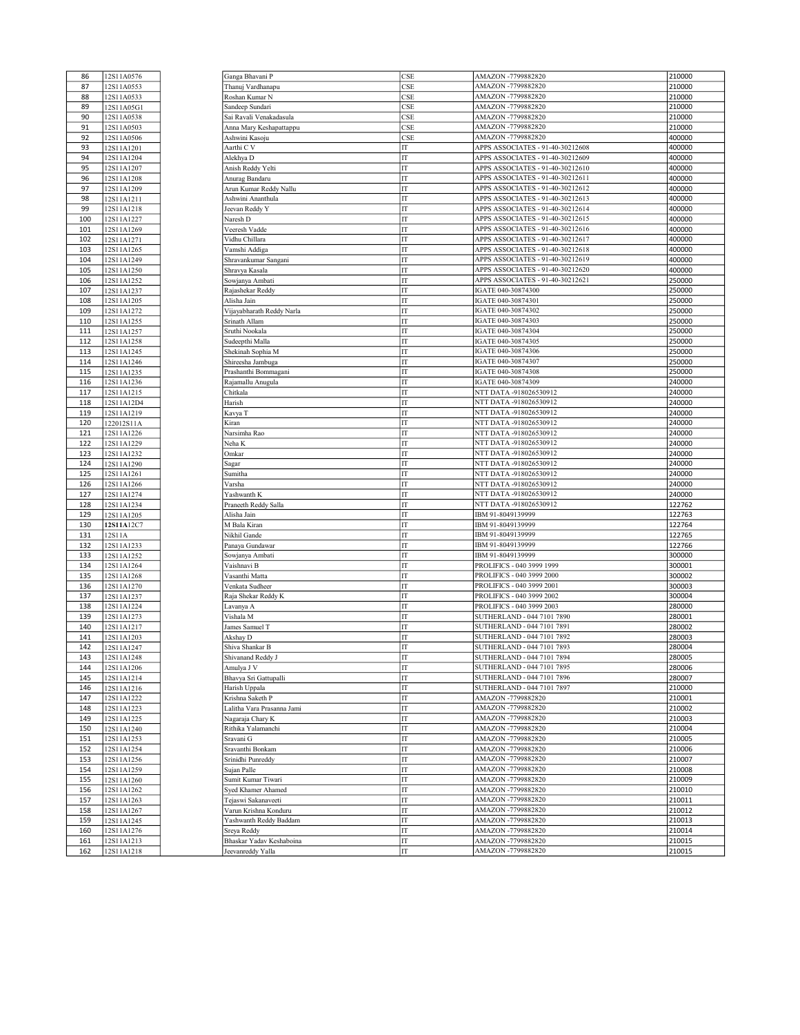| 86  | 12S11A0576 |  |
|-----|------------|--|
| 87  | 12S11A0553 |  |
| 88  | 12S11A0533 |  |
| 89  |            |  |
|     | 12S11A05G1 |  |
| 90  | 12S11A0538 |  |
| 91  | 12S11A0503 |  |
| 92  | 12S11A0506 |  |
| 93  | 12S11A1201 |  |
|     |            |  |
| 94  | 12S11A1204 |  |
| 95  | 12S11A1207 |  |
| 96  | 12S11A1208 |  |
| 97  | 12S11A1209 |  |
|     |            |  |
| 98  | 12S11A1211 |  |
| 99  | 12S11A1218 |  |
| 100 | 12S11A1227 |  |
| 101 | 12S11A1269 |  |
|     | 12S11A1271 |  |
| 102 |            |  |
| 103 | 12S11A1265 |  |
| 104 | 12S11A1249 |  |
| 105 | 12S11A1250 |  |
| 106 | 12S11A1252 |  |
|     |            |  |
| 107 | 12S11A1237 |  |
| 108 | 12S11A1205 |  |
| 109 | 12S11A1272 |  |
| 110 | 12S11A1255 |  |
| 111 |            |  |
|     | 12S11A1257 |  |
| 112 | 12S11A1258 |  |
| 113 | 12S11A1245 |  |
| 114 | 12S11A1246 |  |
| 115 | 12S11A1235 |  |
|     |            |  |
| 116 | 12S11A1236 |  |
| 117 | 12S11A1215 |  |
| 118 | 12S11A12D4 |  |
| 119 | 12S11A1219 |  |
| 120 | 122012S11A |  |
| 121 | 12S11A1226 |  |
|     |            |  |
| 122 | 12S11A1229 |  |
| 123 | 12S11A1232 |  |
| 124 | 12S11A1290 |  |
| 125 | 12S11A1261 |  |
| 126 | 12S11A1266 |  |
| 127 | 12S11A1274 |  |
| 128 | 12S11A1234 |  |
|     |            |  |
| 129 | 12S11A1205 |  |
| 130 | 12S11A12C7 |  |
| 131 | 12S11A     |  |
| 132 | 12S11A1233 |  |
| 133 | 12S11A1252 |  |
| 134 | 12S11A1264 |  |
| 135 |            |  |
|     | 12S11A1268 |  |
| 136 | 12S11A1270 |  |
| 137 | 12S11A1237 |  |
| 138 | 12S11A1224 |  |
| 139 | 12S11A1273 |  |
| 140 | 12S11A1217 |  |
|     |            |  |
| 141 | 12S11A1203 |  |
| 142 | 12S11A1247 |  |
| 143 | 12S11A1248 |  |
| 144 | 12S11A1206 |  |
| 145 | 12S11A1214 |  |
| 146 |            |  |
|     | 12S11A1216 |  |
| 147 | 12S11A1222 |  |
| 148 | 12S11A1223 |  |
| 149 | 12S11A1225 |  |
| 150 | 12S11A1240 |  |
| 151 | 12S11A1253 |  |
| 152 | 12S11A1254 |  |
|     |            |  |
| 153 | 12S11A1256 |  |
| 154 | 12S11A1259 |  |
| 155 | 12S11A1260 |  |
| 156 | 12S11A1262 |  |
| 157 | 12S11A1263 |  |
|     |            |  |
| 158 | 12S11A1267 |  |
| 159 | 12S11A1245 |  |
| 160 | 12S11A1276 |  |
| 161 | 12S11A1213 |  |
| 162 | 12S11A1218 |  |
|     |            |  |

 $\overline{a}$ 

| 86  | 12S11A0576 | Ganga Bhavani P            | CSE | AMAZON -7799882820               | 210000 |
|-----|------------|----------------------------|-----|----------------------------------|--------|
| 87  | 12S11A0553 | Thanuj Vardhanapu          | CSE | AMAZON -7799882820               | 210000 |
| 88  | 12S11A0533 | Roshan Kumar N             | CSE | AMAZON -7799882820               | 210000 |
| 89  | 12S11A05G1 | Sandeep Sundari            | CSE | AMAZON -7799882820               | 210000 |
| 90  | 12S11A0538 | Sai Ravali Venakadasula    | CSE | AMAZON -7799882820               | 210000 |
| 91  | 12S11A0503 | Anna Mary Keshapattappu    | CSE | AMAZON -7799882820               | 210000 |
| 92  | 12S11A0506 | Ashwini Kasoju             | CSE | AMAZON -7799882820               | 400000 |
|     |            |                            |     |                                  |        |
| 93  | 12S11A1201 | Aarthi C V                 | IT  | APPS ASSOCIATES - 91-40-30212608 | 400000 |
| 94  | 12S11A1204 | Alekhya D                  | IT  | APPS ASSOCIATES - 91-40-30212609 | 400000 |
| 95  | 12S11A1207 | Anish Reddy Yelti          | IT  | APPS ASSOCIATES - 91-40-30212610 | 400000 |
| 96  | 12S11A1208 | Anurag Bandaru             | IT  | APPS ASSOCIATES - 91-40-30212611 | 400000 |
| 97  | 12S11A1209 | Arun Kumar Reddy Nallu     | IT  | APPS ASSOCIATES - 91-40-30212612 | 400000 |
| 98  | 12S11A1211 | Ashwini Ananthula          | IT  | APPS ASSOCIATES - 91-40-30212613 | 400000 |
| 99  | 12S11A1218 | Jeevan Reddy Y             | IT  | APPS ASSOCIATES - 91-40-30212614 | 400000 |
| 100 | 12S11A1227 | Naresh D                   | IT  | APPS ASSOCIATES - 91-40-30212615 | 400000 |
| 101 | 12S11A1269 | Veeresh Vadde              | IT  | APPS ASSOCIATES - 91-40-30212616 | 400000 |
| 102 | 12S11A1271 | Vidhu Chillara             | IT  | APPS ASSOCIATES - 91-40-30212617 | 400000 |
| 103 | 12S11A1265 | Vamshi Addiga              | IT  | APPS ASSOCIATES - 91-40-30212618 | 400000 |
| 104 | 12S11A1249 | Shravankumar Sangani       | IT  | APPS ASSOCIATES - 91-40-30212619 | 400000 |
| 105 | 12S11A1250 | Shravya Kasala             | IT  | APPS ASSOCIATES - 91-40-30212620 | 400000 |
| 106 |            |                            | IT  | APPS ASSOCIATES - 91-40-30212621 | 250000 |
|     | 12S11A1252 | Sowjanya Ambati            | IT  | IGATE 040-30874300               | 250000 |
| 107 | 12S11A1237 | Rajashekar Reddy           |     |                                  |        |
| 108 | 12S11A1205 | Alisha Jain                | IT  | IGATE 040-30874301               | 250000 |
| 109 | 12S11A1272 | Vijayabharath Reddy Narla  | IT  | IGATE 040-30874302               | 250000 |
| 110 | 12S11A1255 | Srinath Allam              | IT  | IGATE 040-30874303               | 250000 |
| 111 | 12S11A1257 | Sruthi Nookala             | IT  | IGATE 040-30874304               | 250000 |
| 112 | 12S11A1258 | Sudeepthi Malla            | IT  | IGATE 040-30874305               | 250000 |
| 113 | 12S11A1245 | Shekinah Sophia M          | IT  | IGATE 040-30874306               | 250000 |
| 114 | 12S11A1246 | Shireesha Jambuga          | IT  | IGATE 040-30874307               | 250000 |
| 115 | 12S11A1235 | Prashanthi Bommagani       | IT  | IGATE 040-30874308               | 250000 |
| 116 | 12S11A1236 | Rajamallu Anugula          | IT  | IGATE 040-30874309               | 240000 |
| 117 | 12S11A1215 | Chitkala                   | IT  | NTT DATA -918026530912           | 240000 |
| 118 | 12S11A12D4 | Harish                     | IT  | NTT DATA -918026530912           | 240000 |
| 119 | 12S11A1219 | Kavya T                    | IT  | NTT DATA -918026530912           | 240000 |
| 120 | 122012S11A | Kiran                      | IT  | NTT DATA -918026530912           | 240000 |
| 121 |            | Narsimha Rao               | IT  | NTT DATA -918026530912           | 240000 |
|     | 12S11A1226 |                            |     |                                  |        |
| 122 | 12S11A1229 | Neha K                     | IT  | NTT DATA -918026530912           | 240000 |
| 123 | 12S11A1232 | Omkar                      | IT  | NTT DATA -918026530912           | 240000 |
| 124 | 12S11A1290 | Sagar                      | IT  | NTT DATA -918026530912           | 240000 |
| 125 | 12S11A1261 | Sumitha                    | IT  | NTT DATA -918026530912           | 240000 |
| 126 | 12S11A1266 | Varsha                     | IT  | NTT DATA -918026530912           | 240000 |
| 127 | 12S11A1274 | Yashwanth K                | IT  | NTT DATA -918026530912           | 240000 |
| 128 | 12S11A1234 | Praneeth Reddy Salla       | IT  | NTT DATA -918026530912           | 122762 |
| 129 | 12S11A1205 | Alisha Jain                | IT  | IBM 91-8049139999                | 122763 |
| 130 | 12S11A12C7 | M Bala Kiran               | IT  | IBM 91-8049139999                | 122764 |
| 131 | 12S11A     | Nikhil Gande               | IT  | IBM 91-8049139999                | 122765 |
| 132 | 12S11A1233 | Panaya Gundawar            | IT  | IBM 91-8049139999                | 122766 |
| 133 | 12S11A1252 | Sowjanya Ambati            | IT  | IBM 91-8049139999                | 300000 |
| 134 | 12S11A1264 | Vaishnavi B                | IT  | PROLIFICS - 040 3999 1999        | 300001 |
| 135 | 12S11A1268 | Vasanthi Matta             | IT  | PROLIFICS - 040 3999 2000        | 300002 |
| 136 | 12S11A1270 | Venkata Sudheer            | IT  | PROLIFICS - 040 3999 2001        | 300003 |
| 137 | 12S11A1237 | Raja Shekar Reddy K        | IT  | PROLIFICS - 040 3999 2002        | 300004 |
|     |            |                            | IT  | PROLIFICS - 040 3999 2003        |        |
| 138 | 12S11A1224 | Lavanya A                  |     |                                  | 280000 |
| 139 | 12S11A1273 | Vishala M                  | IT  | SUTHERLAND - 044 7101 7890       | 280001 |
| 140 | 12S11A1217 | James Samuel T             | IT  | SUTHERLAND - 044 7101 7891       | 280002 |
| 141 | 12S11A1203 | Akshay D                   | IT  | SUTHERLAND - 044 7101 7892       | 280003 |
| 142 | 12S11A1247 | Shiva Shankar B            | IT  | SUTHERLAND - 044 7101 7893       | 280004 |
| 143 | 12S11A1248 | Shivanand Reddy J          | IT  | SUTHERLAND - 044 7101 7894       | 280005 |
| 144 | 12S11A1206 | Amulya J V                 | IT  | SUTHERLAND - 044 7101 7895       | 280006 |
| 145 | 12S11A1214 | Bhavya Sri Gattupalli      | IT  | SUTHERLAND - 044 7101 7896       | 280007 |
| 146 | 12S11A1216 | Harish Uppala              | IT  | SUTHERLAND - 044 7101 7897       | 210000 |
| 147 | 12S11A1222 | Krishna Saketh P           | IT  | AMAZON -7799882820               | 210001 |
| 148 | 12S11A1223 | Lalitha Vara Prasanna Jami | IT  | AMAZON -7799882820               | 210002 |
| 149 | 12S11A1225 | Nagaraja Chary K           | IT  | AMAZON -7799882820               | 210003 |
| 150 | 12S11A1240 | Rithika Yalamanchi         | IT  | AMAZON -7799882820               | 210004 |
| 151 | 12S11A1253 | Sravani G                  | IT  | AMAZON -7799882820               | 210005 |
| 152 | 12S11A1254 | Sravanthi Bonkam           | IT  | AMAZON -7799882820               | 210006 |
| 153 | 12S11A1256 | Srinidhi Punreddy          | IT  | AMAZON -7799882820               | 210007 |
|     | 12S11A1259 |                            |     | AMAZON -7799882820               |        |
| 154 |            | Sujan Palle                | IT  |                                  | 210008 |
| 155 | 12S11A1260 | Sumit Kumar Tiwari         | IT  | AMAZON -7799882820               | 210009 |
| 156 | 12S11A1262 | Syed Khamer Ahamed         | IT  | AMAZON -7799882820               | 210010 |
| 157 | 12S11A1263 | Tejaswi Sakanaveeti        | IT  | AMAZON -7799882820               | 210011 |
| 158 | 12S11A1267 | Varun Krishna Konduru      | IT  | AMAZON -7799882820               | 210012 |
| 159 | 12S11A1245 | Yashwanth Reddy Baddam     | IT  | AMAZON -7799882820               | 210013 |
| 160 | 12S11A1276 | Sreya Reddy                | IT  | AMAZON -7799882820               | 210014 |
| 161 | 12S11A1213 | Bhaskar Yadav Keshaboina   | IT  | AMAZON -7799882820               | 210015 |
| 162 | 12S11A1218 | Jeevanreddy Yalla          | IT  | AMAZON -7799882820               | 210015 |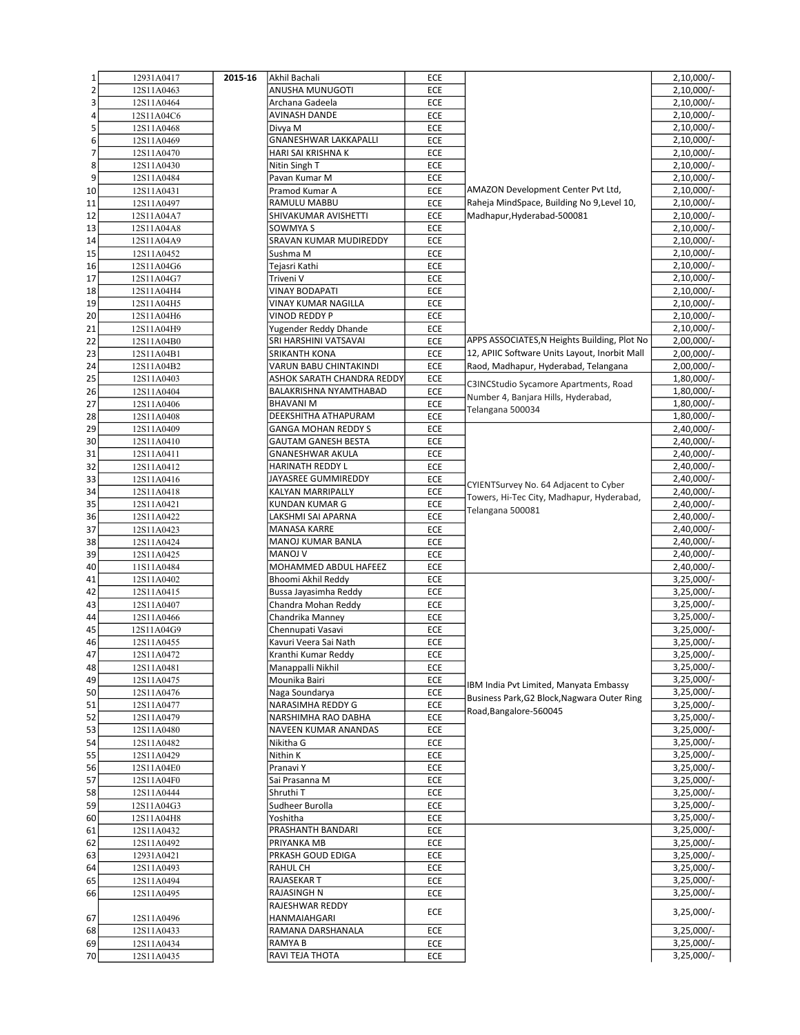| $1\,$                   | 12931A0417 | 2015-16 | Akhil Bachali              | ECE |                                               | $2,10,000/-$ |
|-------------------------|------------|---------|----------------------------|-----|-----------------------------------------------|--------------|
| $\overline{\mathbf{c}}$ | 12S11A0463 |         | ANUSHA MUNUGOTI            | ECE |                                               | 2,10,000/-   |
| 3                       | 12S11A0464 |         | Archana Gadeela            | ECE |                                               | $2,10,000/-$ |
| 4                       | 12S11A04C6 |         | AVINASH DANDE              | ECE |                                               | $2,10,000/-$ |
|                         |            |         |                            |     |                                               | $2,10,000/-$ |
| 5                       | 12S11A0468 |         | Divya M                    | ECE |                                               |              |
| 6                       | 12S11A0469 |         | GNANESHWAR LAKKAPALLI      | ECE |                                               | $2,10,000/-$ |
| $\overline{7}$          | 12S11A0470 |         | HARI SAI KRISHNA K         | ECE |                                               | 2,10,000/-   |
| 8                       | 12S11A0430 |         | Nitin Singh T              | ECE |                                               | $2,10,000/-$ |
| 9                       | 12S11A0484 |         | Pavan Kumar M              | ECE |                                               | $2,10,000/-$ |
| 10                      | 12S11A0431 |         | Pramod Kumar A             | ECE | AMAZON Development Center Pvt Ltd,            | 2,10,000/-   |
| 11                      | 12S11A0497 |         | RAMULU MABBU               | ECE | Raheja MindSpace, Building No 9, Level 10,    | $2,10,000/-$ |
| 12                      | 12S11A04A7 |         | SHIVAKUMAR AVISHETTI       | ECE | Madhapur, Hyderabad-500081                    | 2,10,000/-   |
| 13                      | 12S11A04A8 |         | SOWMYA S                   | ECE |                                               | $2,10,000/-$ |
|                         |            |         |                            |     |                                               |              |
| 14                      | 12S11A04A9 |         | SRAVAN KUMAR MUDIREDDY     | ECE |                                               | $2,10,000/-$ |
| 15                      | 12S11A0452 |         | Sushma M                   | ECE |                                               | $2,10,000/-$ |
| 16                      | 12S11A04G6 |         | Tejasri Kathi              | ECE |                                               | $2,10,000/-$ |
| 17                      | 12S11A04G7 |         | Triveni V                  | ECE |                                               | $2,10,000/-$ |
| 18                      | 12S11A04H4 |         | <b>VINAY BODAPATI</b>      | ECE |                                               | $2,10,000/-$ |
| 19                      | 12S11A04H5 |         | VINAY KUMAR NAGILLA        | ECE |                                               | $2,10,000/-$ |
| 20                      | 12S11A04H6 |         | VINOD REDDY P              | ECE |                                               | $2,10,000/-$ |
| 21                      | 12S11A04H9 |         | Yugender Reddy Dhande      | ECE |                                               | $2,10,000/-$ |
| 22                      | 12S11A04B0 |         | SRI HARSHINI VATSAVAI      | ECE | APPS ASSOCIATES, N Heights Building, Plot No  | 2,00,000/-   |
|                         |            |         | SRIKANTH KONA              | ECE | 12, APIIC Software Units Layout, Inorbit Mall | $2,00,000/-$ |
| 23                      | 12S11A04B1 |         |                            |     |                                               |              |
| 24                      | 12S11A04B2 |         | VARUN BABU CHINTAKINDI     | ECE | Raod, Madhapur, Hyderabad, Telangana          | $2,00,000/-$ |
| 25                      | 12S11A0403 |         | ASHOK SARATH CHANDRA REDDY | ECE | C3INCStudio Sycamore Apartments, Road         | 1,80,000/-   |
| 26                      | 12S11A0404 |         | BALAKRISHNA NYAMTHABAD     | ECE | Number 4, Banjara Hills, Hyderabad,           | 1,80,000/-   |
| 27                      | 12S11A0406 |         | <b>BHAVANIM</b>            | ECE | Telangana 500034                              | 1,80,000/-   |
| 28                      | 12S11A0408 |         | DEEKSHITHA ATHAPURAM       | ECE |                                               | 1,80,000/-   |
| 29                      | 12S11A0409 |         | <b>GANGA MOHAN REDDY S</b> | ECE |                                               | $2,40,000/-$ |
| 30                      | 12S11A0410 |         | <b>GAUTAM GANESH BESTA</b> | ECE |                                               | 2,40,000/-   |
| 31                      | 12S11A0411 |         | GNANESHWAR AKULA           | ECE |                                               | $2,40,000/-$ |
| 32                      | 12S11A0412 |         | HARINATH REDDY L           | ECE |                                               | 2,40,000/-   |
| 33                      | 12S11A0416 |         | JAYASREE GUMMIREDDY        | ECE |                                               | 2,40,000/-   |
| 34                      | 12S11A0418 |         | KALYAN MARRIPALLY          | ECE | CYIENTSurvey No. 64 Adjacent to Cyber         | $2,40,000/-$ |
|                         |            |         |                            |     | Towers, Hi-Tec City, Madhapur, Hyderabad,     |              |
| 35                      | 12S11A0421 |         | KUNDAN KUMAR G             | ECE | Telangana 500081                              | $2,40,000/-$ |
| 36                      | 12S11A0422 |         | LAKSHMI SAI APARNA         | ECE |                                               | $2,40,000/-$ |
| 37                      | 12S11A0423 |         | MANASA KARRE               | ECE |                                               | 2,40,000/-   |
| 38                      | 12S11A0424 |         | MANOJ KUMAR BANLA          | ECE |                                               | $2,40,000/-$ |
| 39                      | 12S11A0425 |         | <b>MANOJ V</b>             | ECE |                                               | $2,40,000/-$ |
| 40                      | 11S11A0484 |         | MOHAMMED ABDUL HAFEEZ      | ECE |                                               | $2,40,000/-$ |
| 41                      | 12S11A0402 |         | Bhoomi Akhil Reddy         | ECE |                                               | 3,25,000/-   |
| 42                      | 12S11A0415 |         | Bussa Jayasimha Reddy      | ECE |                                               | $3,25,000/-$ |
| 43                      | 12S11A0407 |         | Chandra Mohan Reddy        | ECE |                                               | $3,25,000/-$ |
| 44                      | 12S11A0466 |         | Chandrika Manney           | ECE |                                               | $3,25,000/-$ |
| 45                      | 12S11A04G9 |         | Chennupati Vasavi          | ECE |                                               | 3,25,000/-   |
| 46                      | 12S11A0455 |         | Kavuri Veera Sai Nath      | ECE |                                               | $3,25,000/-$ |
| 47                      |            |         |                            | ECE |                                               | 3,25,000/-   |
|                         | 12S11A0472 |         | Kranthi Kumar Reddy        |     |                                               |              |
| 48                      | 12S11A0481 |         | Manappalli Nikhil          | ECE |                                               | $3,25,000/-$ |
| 49                      | 12S11A0475 |         | Mounika Bairi              | ECE | IBM India Pvt Limited, Manyata Embassy        | $3,25,000/-$ |
| 50                      | 12S11A0476 |         | Naga Soundarya             | ECE | Business Park, G2 Block, Nagwara Outer Ring   | $3,25,000/-$ |
| 51                      | 12S11A0477 |         | NARASIMHA REDDY G          | ECE | Road, Bangalore-560045                        | 3,25,000/-   |
| 52                      | 12S11A0479 |         | NARSHIMHA RAO DABHA        | ECE |                                               | $3,25,000/-$ |
| 53                      | 12S11A0480 |         | NAVEEN KUMAR ANANDAS       | ECE |                                               | $3,25,000/-$ |
| 54                      | 12S11A0482 |         | Nikitha G                  | ECE |                                               | $3,25,000/-$ |
| 55                      | 12S11A0429 |         | Nithin K                   | ECE |                                               | 3,25,000/-   |
| 56                      | 12S11A04E0 |         | Pranavi Y                  | ECE |                                               | 3,25,000/-   |
|                         |            |         |                            |     |                                               |              |
| 57                      | 12S11A04F0 |         | Sai Prasanna M             | ECE |                                               | $3,25,000/-$ |
| 58                      | 12S11A0444 |         | Shruthi T                  | ECE |                                               | $3,25,000/-$ |
| 59                      | 12S11A04G3 |         | Sudheer Burolla            | ECE |                                               | $3,25,000/-$ |
| 60                      | 12S11A04H8 |         | Yoshitha                   | ECE |                                               | 3,25,000/-   |
| 61                      | 12S11A0432 |         | PRASHANTH BANDARI          | ECE |                                               | 3,25,000/-   |
| 62                      | 12S11A0492 |         | PRIYANKA MB                | ECE |                                               | $3,25,000/-$ |
| 63                      | 12931A0421 |         | PRKASH GOUD EDIGA          | ECE |                                               | $3,25,000/-$ |
| 64                      | 12S11A0493 |         | <b>RAHUL CH</b>            | ECE |                                               | $3,25,000/-$ |
| 65                      | 12S11A0494 |         | RAJASEKAR T                | ECE |                                               | 3,25,000/-   |
| 66                      | 12S11A0495 |         | RAJASINGH N                | ECE |                                               | 3,25,000/-   |
|                         |            |         | RAJESHWAR REDDY            |     |                                               |              |
| 67                      | 12S11A0496 |         | HANMAIAHGARI               | ECE |                                               | $3,25,000/-$ |
| 68                      | 12S11A0433 |         | RAMANA DARSHANALA          | ECE |                                               | 3,25,000/-   |
|                         |            |         |                            |     |                                               |              |
| 69                      | 12S11A0434 |         | RAMYA B                    | ECE |                                               | 3,25,000/-   |
| 70                      | 12S11A0435 |         | RAVI TEJA THOTA            | ECE |                                               | 3,25,000/-   |